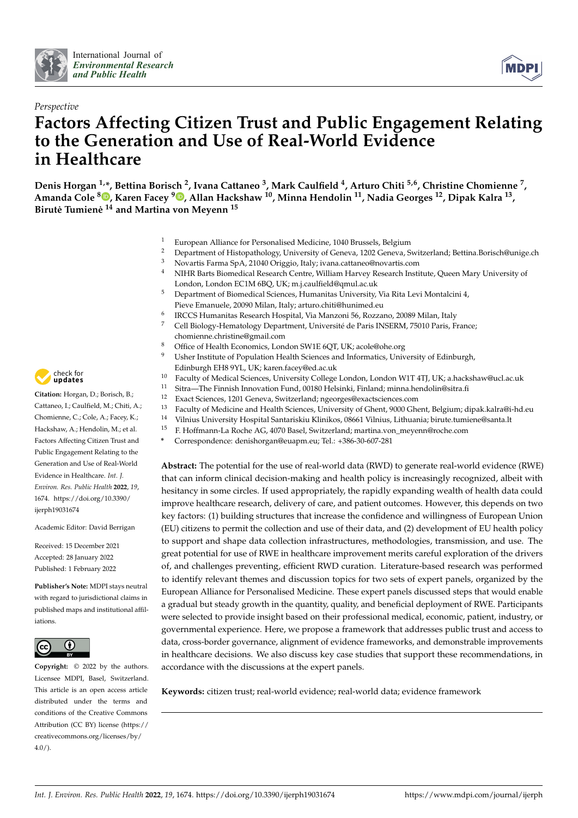





# **Factors Affecting Citizen Trust and Public Engagement Relating to the Generation and Use of Real-World Evidence in Healthcare**

**Denis Horgan 1,\*, Bettina Borisch <sup>2</sup> , Ivana Cattaneo <sup>3</sup> , Mark Caulfield <sup>4</sup> , Arturo Chiti 5,6, Christine Chomienne <sup>7</sup> , Amanda Cole [8](https://orcid.org/0000-0001-6179-7752) , Karen Facey <sup>9</sup> [,](https://orcid.org/0000-0001-6670-5271) Allan Hackshaw <sup>10</sup>, Minna Hendolin <sup>11</sup>, Nadia Georges <sup>12</sup>, Dipak Kalra <sup>13</sup> , Birute Tumien ˙ e˙ <sup>14</sup> and Martina von Meyenn <sup>15</sup>**

- 1 European Alliance for Personalised Medicine, 1040 Brussels, Belgium<br>2 Department of Histopathology University of Geneva 1202 Geneva S
- <sup>2</sup> Department of Histopathology, University of Geneva, 1202 Geneva, Switzerland; Bettina.Borisch@unige.ch<br><sup>3</sup> Navartia Farma Sp.A. 21040 Origaio, Italy iyang attange@payartia.com
- <sup>3</sup> Novartis Farma SpA, 21040 Origgio, Italy; ivana.cattaneo@novartis.com
- <sup>4</sup> NIHR Barts Biomedical Research Centre, William Harvey Research Institute, Queen Mary University of London, London EC1M 6BQ, UK; m.j.caulfield@qmul.ac.uk
- <sup>5</sup> Department of Biomedical Sciences, Humanitas University, Via Rita Levi Montalcini 4, Pieve Emanuele, 20090 Milan, Italy; arturo.chiti@hunimed.eu
- 6 IRCCS Humanitas Research Hospital, Via Manzoni 56, Rozzano, 20089 Milan, Italy
- <sup>7</sup> Cell Biology-Hematology Department, Université de Paris INSERM, 75010 Paris, France; chomienne.christine@gmail.com
- <sup>8</sup> Office of Health Economics, London SW1E 6QT, UK; acole@ohe.org
- <sup>9</sup> Usher Institute of Population Health Sciences and Informatics, University of Edinburgh, Edinburgh EH8 9YL, UK; karen.facey@ed.ac.uk
- <sup>10</sup> Faculty of Medical Sciences, University College London, London W1T 4TJ, UK; a.hackshaw@ucl.ac.uk<br><sup>11</sup> Sitra—The Einnish Innovation Fund, 00180 Helsinki, Einland: minna hendolin@sitra fi
- <sup>11</sup> Sitra—The Finnish Innovation Fund, 00180 Helsinki, Finland; minna.hendolin@sitra.fi<br><sup>12</sup> Exact Sciences 1201 Geneva Switzerland; ngeorges@exactsciences.com
- <sup>12</sup> Exact Sciences, 1201 Geneva, Switzerland; ngeorges@exactsciences.com<br><sup>13</sup> Exactly of Madising and Haalth Sciences. University of Chart, 0000 Ch
- <sup>13</sup> Faculty of Medicine and Health Sciences, University of Ghent, 9000 Ghent, Belgium; dipak.kalra@i-hd.eu
- <sup>14</sup> Vilnius University Hospital Santariskiu Klinikos, 08661 Vilnius, Lithuania; birute.tumiene@santa.lt
- <sup>15</sup> F. Hoffmann-La Roche AG, 4070 Basel, Switzerland; martina.von\_meyenn@roche.com
- **\*** Correspondence: denishorgan@euapm.eu; Tel.: +386-30-607-281

**Abstract:** The potential for the use of real-world data (RWD) to generate real-world evidence (RWE) that can inform clinical decision-making and health policy is increasingly recognized, albeit with hesitancy in some circles. If used appropriately, the rapidly expanding wealth of health data could improve healthcare research, delivery of care, and patient outcomes. However, this depends on two key factors: (1) building structures that increase the confidence and willingness of European Union (EU) citizens to permit the collection and use of their data, and (2) development of EU health policy to support and shape data collection infrastructures, methodologies, transmission, and use. The great potential for use of RWE in healthcare improvement merits careful exploration of the drivers of, and challenges preventing, efficient RWD curation. Literature-based research was performed to identify relevant themes and discussion topics for two sets of expert panels, organized by the European Alliance for Personalised Medicine. These expert panels discussed steps that would enable a gradual but steady growth in the quantity, quality, and beneficial deployment of RWE. Participants were selected to provide insight based on their professional medical, economic, patient, industry, or governmental experience. Here, we propose a framework that addresses public trust and access to data, cross-border governance, alignment of evidence frameworks, and demonstrable improvements in healthcare decisions. We also discuss key case studies that support these recommendations, in accordance with the discussions at the expert panels.

**Keywords:** citizen trust; real-world evidence; real-world data; evidence framework



**Citation:** Horgan, D.; Borisch, B.; Cattaneo, I.; Caulfield, M.; Chiti, A.; Chomienne, C.; Cole, A.; Facey, K.; Hackshaw, A.; Hendolin, M.; et al. Factors Affecting Citizen Trust and Public Engagement Relating to the Generation and Use of Real-World Evidence in Healthcare. *Int. J. Environ. Res. Public Health* **2022**, *19*, 1674. [https://doi.org/10.3390/](https://doi.org/10.3390/ijerph19031674) [ijerph19031674](https://doi.org/10.3390/ijerph19031674)

Academic Editor: David Berrigan

Received: 15 December 2021 Accepted: 28 January 2022 Published: 1 February 2022

**Publisher's Note:** MDPI stays neutral with regard to jurisdictional claims in published maps and institutional affiliations.



**Copyright:** © 2022 by the authors. Licensee MDPI, Basel, Switzerland. This article is an open access article distributed under the terms and conditions of the Creative Commons Attribution (CC BY) license [\(https://](https://creativecommons.org/licenses/by/4.0/) [creativecommons.org/licenses/by/](https://creativecommons.org/licenses/by/4.0/)  $4.0/$ ).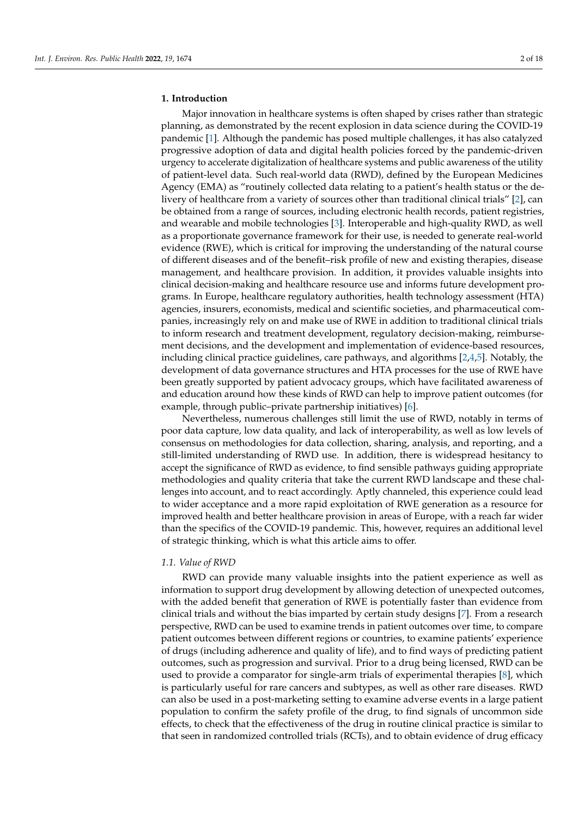# **1. Introduction**

Major innovation in healthcare systems is often shaped by crises rather than strategic planning, as demonstrated by the recent explosion in data science during the COVID-19 pandemic [\[1\]](#page-16-0). Although the pandemic has posed multiple challenges, it has also catalyzed progressive adoption of data and digital health policies forced by the pandemic-driven urgency to accelerate digitalization of healthcare systems and public awareness of the utility of patient-level data. Such real-world data (RWD), defined by the European Medicines Agency (EMA) as "routinely collected data relating to a patient's health status or the delivery of healthcare from a variety of sources other than traditional clinical trials" [\[2\]](#page-16-1), can be obtained from a range of sources, including electronic health records, patient registries, and wearable and mobile technologies [\[3\]](#page-16-2). Interoperable and high-quality RWD, as well as a proportionate governance framework for their use, is needed to generate real-world evidence (RWE), which is critical for improving the understanding of the natural course of different diseases and of the benefit–risk profile of new and existing therapies, disease management, and healthcare provision. In addition, it provides valuable insights into clinical decision-making and healthcare resource use and informs future development programs. In Europe, healthcare regulatory authorities, health technology assessment (HTA) agencies, insurers, economists, medical and scientific societies, and pharmaceutical companies, increasingly rely on and make use of RWE in addition to traditional clinical trials to inform research and treatment development, regulatory decision-making, reimbursement decisions, and the development and implementation of evidence-based resources, including clinical practice guidelines, care pathways, and algorithms [\[2](#page-16-1)[,4](#page-16-3)[,5\]](#page-16-4). Notably, the development of data governance structures and HTA processes for the use of RWE have been greatly supported by patient advocacy groups, which have facilitated awareness of and education around how these kinds of RWD can help to improve patient outcomes (for example, through public–private partnership initiatives) [\[6\]](#page-16-5).

Nevertheless, numerous challenges still limit the use of RWD, notably in terms of poor data capture, low data quality, and lack of interoperability, as well as low levels of consensus on methodologies for data collection, sharing, analysis, and reporting, and a still-limited understanding of RWD use. In addition, there is widespread hesitancy to accept the significance of RWD as evidence, to find sensible pathways guiding appropriate methodologies and quality criteria that take the current RWD landscape and these challenges into account, and to react accordingly. Aptly channeled, this experience could lead to wider acceptance and a more rapid exploitation of RWE generation as a resource for improved health and better healthcare provision in areas of Europe, with a reach far wider than the specifics of the COVID-19 pandemic. This, however, requires an additional level of strategic thinking, which is what this article aims to offer.

#### *1.1. Value of RWD*

RWD can provide many valuable insights into the patient experience as well as information to support drug development by allowing detection of unexpected outcomes, with the added benefit that generation of RWE is potentially faster than evidence from clinical trials and without the bias imparted by certain study designs [\[7\]](#page-16-6). From a research perspective, RWD can be used to examine trends in patient outcomes over time, to compare patient outcomes between different regions or countries, to examine patients' experience of drugs (including adherence and quality of life), and to find ways of predicting patient outcomes, such as progression and survival. Prior to a drug being licensed, RWD can be used to provide a comparator for single-arm trials of experimental therapies [\[8\]](#page-16-7), which is particularly useful for rare cancers and subtypes, as well as other rare diseases. RWD can also be used in a post-marketing setting to examine adverse events in a large patient population to confirm the safety profile of the drug, to find signals of uncommon side effects, to check that the effectiveness of the drug in routine clinical practice is similar to that seen in randomized controlled trials (RCTs), and to obtain evidence of drug efficacy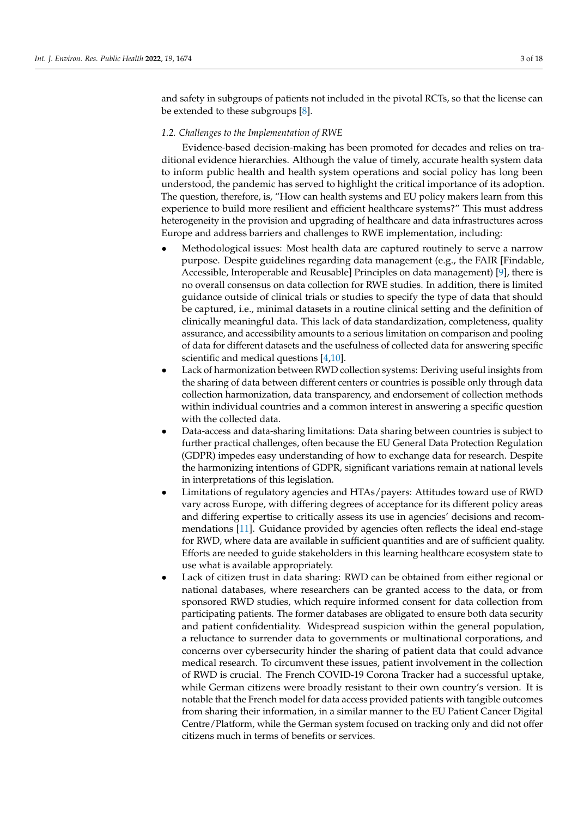and safety in subgroups of patients not included in the pivotal RCTs, so that the license can be extended to these subgroups [\[8\]](#page-16-7).

#### *1.2. Challenges to the Implementation of RWE*

Evidence-based decision-making has been promoted for decades and relies on traditional evidence hierarchies. Although the value of timely, accurate health system data to inform public health and health system operations and social policy has long been understood, the pandemic has served to highlight the critical importance of its adoption. The question, therefore, is, "How can health systems and EU policy makers learn from this experience to build more resilient and efficient healthcare systems?" This must address heterogeneity in the provision and upgrading of healthcare and data infrastructures across Europe and address barriers and challenges to RWE implementation, including:

- Methodological issues: Most health data are captured routinely to serve a narrow purpose. Despite guidelines regarding data management (e.g., the FAIR [Findable, Accessible, Interoperable and Reusable] Principles on data management) [\[9\]](#page-16-8), there is no overall consensus on data collection for RWE studies. In addition, there is limited guidance outside of clinical trials or studies to specify the type of data that should be captured, i.e., minimal datasets in a routine clinical setting and the definition of clinically meaningful data. This lack of data standardization, completeness, quality assurance, and accessibility amounts to a serious limitation on comparison and pooling of data for different datasets and the usefulness of collected data for answering specific scientific and medical questions [\[4](#page-16-3)[,10\]](#page-16-9).
- Lack of harmonization between RWD collection systems: Deriving useful insights from the sharing of data between different centers or countries is possible only through data collection harmonization, data transparency, and endorsement of collection methods within individual countries and a common interest in answering a specific question with the collected data.
- Data-access and data-sharing limitations: Data sharing between countries is subject to further practical challenges, often because the EU General Data Protection Regulation (GDPR) impedes easy understanding of how to exchange data for research. Despite the harmonizing intentions of GDPR, significant variations remain at national levels in interpretations of this legislation.
- Limitations of regulatory agencies and HTAs/payers: Attitudes toward use of RWD vary across Europe, with differing degrees of acceptance for its different policy areas and differing expertise to critically assess its use in agencies' decisions and recommendations [\[11\]](#page-16-10). Guidance provided by agencies often reflects the ideal end-stage for RWD, where data are available in sufficient quantities and are of sufficient quality. Efforts are needed to guide stakeholders in this learning healthcare ecosystem state to use what is available appropriately.
- Lack of citizen trust in data sharing: RWD can be obtained from either regional or national databases, where researchers can be granted access to the data, or from sponsored RWD studies, which require informed consent for data collection from participating patients. The former databases are obligated to ensure both data security and patient confidentiality. Widespread suspicion within the general population, a reluctance to surrender data to governments or multinational corporations, and concerns over cybersecurity hinder the sharing of patient data that could advance medical research. To circumvent these issues, patient involvement in the collection of RWD is crucial. The French COVID-19 Corona Tracker had a successful uptake, while German citizens were broadly resistant to their own country's version. It is notable that the French model for data access provided patients with tangible outcomes from sharing their information, in a similar manner to the EU Patient Cancer Digital Centre/Platform, while the German system focused on tracking only and did not offer citizens much in terms of benefits or services.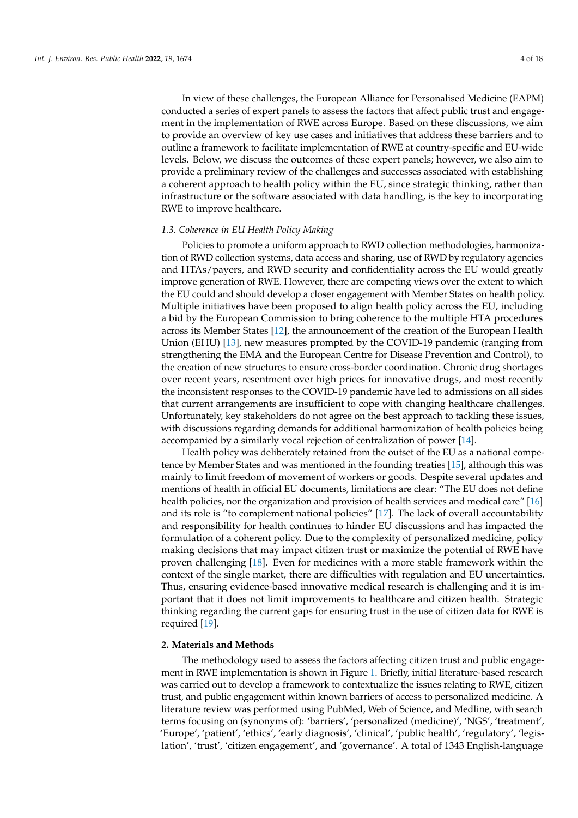In view of these challenges, the European Alliance for Personalised Medicine (EAPM) conducted a series of expert panels to assess the factors that affect public trust and engagement in the implementation of RWE across Europe. Based on these discussions, we aim to provide an overview of key use cases and initiatives that address these barriers and to outline a framework to facilitate implementation of RWE at country-specific and EU-wide levels. Below, we discuss the outcomes of these expert panels; however, we also aim to provide a preliminary review of the challenges and successes associated with establishing a coherent approach to health policy within the EU, since strategic thinking, rather than infrastructure or the software associated with data handling, is the key to incorporating RWE to improve healthcare.

#### *1.3. Coherence in EU Health Policy Making*

Policies to promote a uniform approach to RWD collection methodologies, harmonization of RWD collection systems, data access and sharing, use of RWD by regulatory agencies and HTAs/payers, and RWD security and confidentiality across the EU would greatly improve generation of RWE. However, there are competing views over the extent to which the EU could and should develop a closer engagement with Member States on health policy. Multiple initiatives have been proposed to align health policy across the EU, including a bid by the European Commission to bring coherence to the multiple HTA procedures across its Member States [\[12\]](#page-16-11), the announcement of the creation of the European Health Union (EHU) [\[13\]](#page-16-12), new measures prompted by the COVID-19 pandemic (ranging from strengthening the EMA and the European Centre for Disease Prevention and Control), to the creation of new structures to ensure cross-border coordination. Chronic drug shortages over recent years, resentment over high prices for innovative drugs, and most recently the inconsistent responses to the COVID-19 pandemic have led to admissions on all sides that current arrangements are insufficient to cope with changing healthcare challenges. Unfortunately, key stakeholders do not agree on the best approach to tackling these issues, with discussions regarding demands for additional harmonization of health policies being accompanied by a similarly vocal rejection of centralization of power [\[14\]](#page-16-13).

Health policy was deliberately retained from the outset of the EU as a national competence by Member States and was mentioned in the founding treaties [\[15\]](#page-16-14), although this was mainly to limit freedom of movement of workers or goods. Despite several updates and mentions of health in official EU documents, limitations are clear: "The EU does not define health policies, nor the organization and provision of health services and medical care" [\[16\]](#page-16-15) and its role is "to complement national policies" [\[17\]](#page-16-16). The lack of overall accountability and responsibility for health continues to hinder EU discussions and has impacted the formulation of a coherent policy. Due to the complexity of personalized medicine, policy making decisions that may impact citizen trust or maximize the potential of RWE have proven challenging [\[18\]](#page-16-17). Even for medicines with a more stable framework within the context of the single market, there are difficulties with regulation and EU uncertainties. Thus, ensuring evidence-based innovative medical research is challenging and it is important that it does not limit improvements to healthcare and citizen health. Strategic thinking regarding the current gaps for ensuring trust in the use of citizen data for RWE is required [\[19\]](#page-16-18).

#### **2. Materials and Methods**

The methodology used to assess the factors affecting citizen trust and public engagement in RWE implementation is shown in Figure [1.](#page-4-0) Briefly, initial literature-based research was carried out to develop a framework to contextualize the issues relating to RWE, citizen trust, and public engagement within known barriers of access to personalized medicine. A literature review was performed using PubMed, Web of Science, and Medline, with search terms focusing on (synonyms of): 'barriers', 'personalized (medicine)', 'NGS', 'treatment', 'Europe', 'patient', 'ethics', 'early diagnosis', 'clinical', 'public health', 'regulatory', 'legislation', 'trust', 'citizen engagement', and 'governance'. A total of 1343 English-language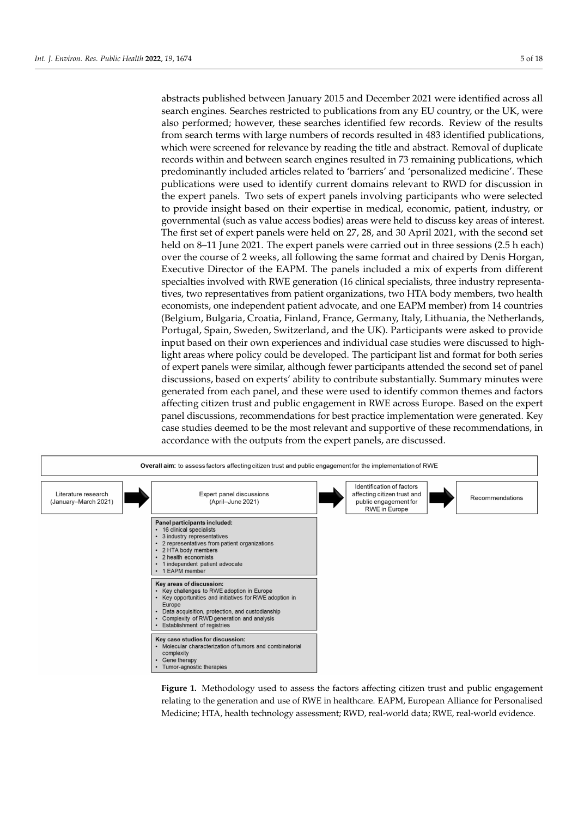abstracts published between January 2015 and December 2021 were identified across all search engines. Searches restricted to publications from any EU country, or the UK, were also performed; however, these searches identified few records. Review of the results from search terms with large numbers of records resulted in 483 identified publications, which were screened for relevance by reading the title and abstract. Removal of duplicate records within and between search engines resulted in 73 remaining publications, which predominantly included articles related to 'barriers' and 'personalized medicine'. These publications were used to identify current domains relevant to RWD for discussion in the expert panels. Two sets of expert panels involving participants who were selected to provide insight based on their expertise in medical, economic, patient, industry, or governmental (such as value access bodies) areas were held to discuss key areas of interest. The first set of expert panels were held on 27, 28, and 30 April 2021, with the second set held on 8–11 June 2021. The expert panels were carried out in three sessions (2.5 h each) over the course of 2 weeks, all following the same format and chaired by Denis Horgan, Executive Director of the EAPM. The panels included a mix of experts from different specialties involved with RWE generation (16 clinical specialists, three industry representatives, two representatives from patient organizations, two HTA body members, two health economists, one independent patient advocate, and one EAPM member) from 14 countries (Belgium, Bulgaria, Croatia, Finland, France, Germany, Italy, Lithuania, the Netherlands, Portugal, Spain, Sweden, Switzerland, and the UK). Participants were asked to provide input based on their own experiences and individual case studies were discussed to highlight areas where policy could be developed. The participant list and format for both series of expert panels were similar, although fewer participants attended the second set of panel discussions, based on experts' ability to contribute substantially. Summary minutes were generated from each panel, and these were used to identify common themes and factors affecting citizen trust and public engagement in RWE across Europe. Based on the expert panel discussions, recommendations for best practice implementation were generated. Key case studies deemed to be the most relevant and supportive of these recommendations, in accordance with the outputs from the expert panels, are discussed.

<span id="page-4-0"></span>

**Figure 1.** Methodology used to assess the factors affecting citizen trust and public engagement relating to the generation and use of RWE in healthcare. EAPM, European Alliance for Personalised Medicine; HTA, health technology assessment; RWD, real-world data; RWE, real-world evidence.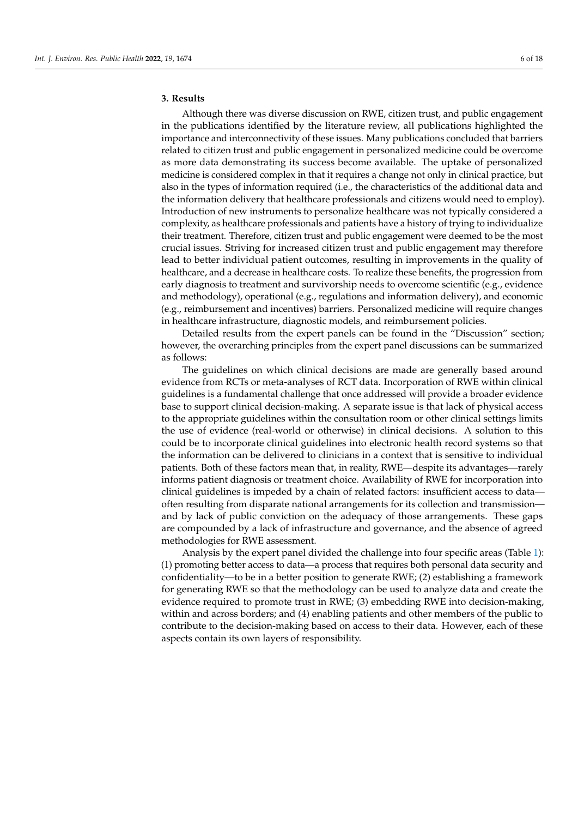# **3. Results**

Although there was diverse discussion on RWE, citizen trust, and public engagement in the publications identified by the literature review, all publications highlighted the importance and interconnectivity of these issues. Many publications concluded that barriers related to citizen trust and public engagement in personalized medicine could be overcome as more data demonstrating its success become available. The uptake of personalized medicine is considered complex in that it requires a change not only in clinical practice, but also in the types of information required (i.e., the characteristics of the additional data and the information delivery that healthcare professionals and citizens would need to employ). Introduction of new instruments to personalize healthcare was not typically considered a complexity, as healthcare professionals and patients have a history of trying to individualize their treatment. Therefore, citizen trust and public engagement were deemed to be the most crucial issues. Striving for increased citizen trust and public engagement may therefore lead to better individual patient outcomes, resulting in improvements in the quality of healthcare, and a decrease in healthcare costs. To realize these benefits, the progression from early diagnosis to treatment and survivorship needs to overcome scientific (e.g., evidence and methodology), operational (e.g., regulations and information delivery), and economic (e.g., reimbursement and incentives) barriers. Personalized medicine will require changes in healthcare infrastructure, diagnostic models, and reimbursement policies.

Detailed results from the expert panels can be found in the "Discussion" section; however, the overarching principles from the expert panel discussions can be summarized as follows:

The guidelines on which clinical decisions are made are generally based around evidence from RCTs or meta-analyses of RCT data. Incorporation of RWE within clinical guidelines is a fundamental challenge that once addressed will provide a broader evidence base to support clinical decision-making. A separate issue is that lack of physical access to the appropriate guidelines within the consultation room or other clinical settings limits the use of evidence (real-world or otherwise) in clinical decisions. A solution to this could be to incorporate clinical guidelines into electronic health record systems so that the information can be delivered to clinicians in a context that is sensitive to individual patients. Both of these factors mean that, in reality, RWE—despite its advantages—rarely informs patient diagnosis or treatment choice. Availability of RWE for incorporation into clinical guidelines is impeded by a chain of related factors: insufficient access to data often resulting from disparate national arrangements for its collection and transmission and by lack of public conviction on the adequacy of those arrangements. These gaps are compounded by a lack of infrastructure and governance, and the absence of agreed methodologies for RWE assessment.

Analysis by the expert panel divided the challenge into four specific areas (Table [1\)](#page-6-0): (1) promoting better access to data—a process that requires both personal data security and confidentiality—to be in a better position to generate RWE; (2) establishing a framework for generating RWE so that the methodology can be used to analyze data and create the evidence required to promote trust in RWE; (3) embedding RWE into decision-making, within and across borders; and (4) enabling patients and other members of the public to contribute to the decision-making based on access to their data. However, each of these aspects contain its own layers of responsibility.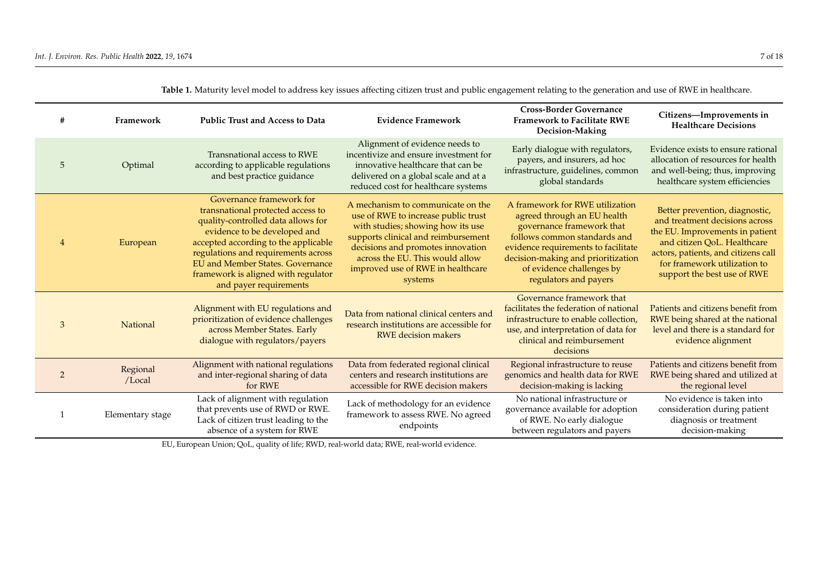| #              | Framework          | <b>Public Trust and Access to Data</b>                                                                                                                                                                                                                                                                                         | <b>Evidence Framework</b>                                                                                                                                                                                                                                                    | <b>Cross-Border Governance</b><br><b>Framework to Facilitate RWE</b><br>Decision-Making                                                                                                                                                                        | Citizens-Improvements in<br><b>Healthcare Decisions</b>                                                                                                                                                                                  |
|----------------|--------------------|--------------------------------------------------------------------------------------------------------------------------------------------------------------------------------------------------------------------------------------------------------------------------------------------------------------------------------|------------------------------------------------------------------------------------------------------------------------------------------------------------------------------------------------------------------------------------------------------------------------------|----------------------------------------------------------------------------------------------------------------------------------------------------------------------------------------------------------------------------------------------------------------|------------------------------------------------------------------------------------------------------------------------------------------------------------------------------------------------------------------------------------------|
| 5              | Optimal            | Transnational access to RWE<br>according to applicable regulations<br>and best practice guidance                                                                                                                                                                                                                               | Alignment of evidence needs to<br>incentivize and ensure investment for<br>innovative healthcare that can be<br>delivered on a global scale and at a<br>reduced cost for healthcare systems                                                                                  | Early dialogue with regulators,<br>payers, and insurers, ad hoc<br>infrastructure, guidelines, common<br>global standards                                                                                                                                      | Evidence exists to ensure rational<br>allocation of resources for health<br>and well-being; thus, improving<br>healthcare system efficiencies                                                                                            |
| $\overline{4}$ | European           | Governance framework for<br>transnational protected access to<br>quality-controlled data allows for<br>evidence to be developed and<br>accepted according to the applicable<br>regulations and requirements across<br><b>EU</b> and Member States. Governance<br>framework is aligned with regulator<br>and payer requirements | A mechanism to communicate on the<br>use of RWE to increase public trust<br>with studies; showing how its use<br>supports clinical and reimbursement<br>decisions and promotes innovation<br>across the EU. This would allow<br>improved use of RWE in healthcare<br>systems | A framework for RWE utilization<br>agreed through an EU health<br>governance framework that<br>follows common standards and<br>evidence requirements to facilitate<br>decision-making and prioritization<br>of evidence challenges by<br>regulators and payers | Better prevention, diagnostic,<br>and treatment decisions across<br>the EU. Improvements in patient<br>and citizen OoL. Healthcare<br>actors, patients, and citizens call<br>for framework utilization to<br>support the best use of RWE |
| 3              | National           | Alignment with EU regulations and<br>prioritization of evidence challenges<br>across Member States. Early<br>dialogue with regulators/payers                                                                                                                                                                                   | Data from national clinical centers and<br>research institutions are accessible for<br><b>RWE</b> decision makers                                                                                                                                                            | Governance framework that<br>facilitates the federation of national<br>infrastructure to enable collection,<br>use, and interpretation of data for<br>clinical and reimbursement<br>decisions                                                                  | Patients and citizens benefit from<br>RWE being shared at the national<br>level and there is a standard for<br>evidence alignment                                                                                                        |
| $\overline{2}$ | Regional<br>/Local | Alignment with national regulations<br>and inter-regional sharing of data<br>for RWE                                                                                                                                                                                                                                           | Data from federated regional clinical<br>centers and research institutions are<br>accessible for RWE decision makers                                                                                                                                                         | Regional infrastructure to reuse<br>genomics and health data for RWE<br>decision-making is lacking                                                                                                                                                             | Patients and citizens benefit from<br>RWE being shared and utilized at<br>the regional level                                                                                                                                             |
|                | Elementary stage   | Lack of alignment with regulation<br>that prevents use of RWD or RWE.<br>Lack of citizen trust leading to the<br>absence of a system for RWE                                                                                                                                                                                   | Lack of methodology for an evidence<br>framework to assess RWE. No agreed<br>endpoints                                                                                                                                                                                       | No national infrastructure or<br>governance available for adoption<br>of RWE. No early dialogue<br>between regulators and payers                                                                                                                               | No evidence is taken into<br>consideration during patient<br>diagnosis or treatment<br>decision-making                                                                                                                                   |

Table 1. Maturity level model to address key issues affecting citizen trust and public engagement relating to the generation and use of RWE in healthcare.

<span id="page-6-0"></span>EU, European Union; QoL, quality of life; RWD, real-world data; RWE, real-world evidence.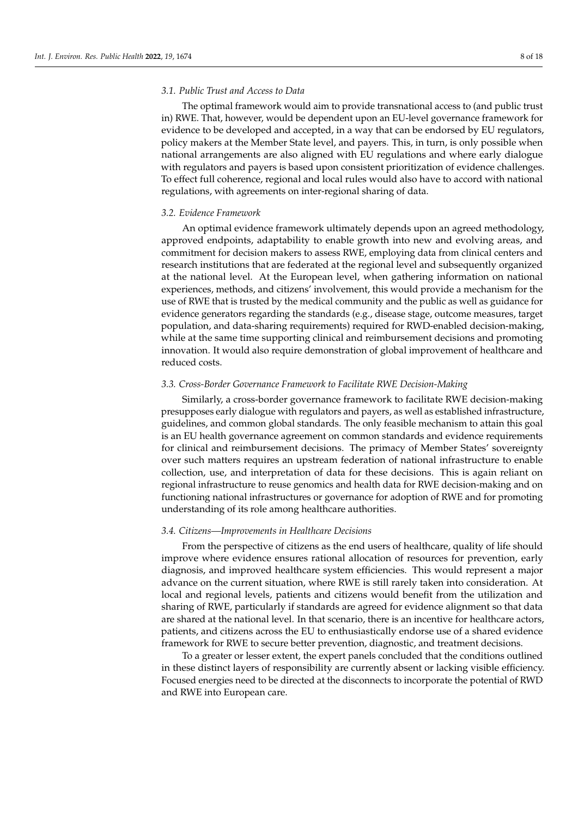# *3.1. Public Trust and Access to Data*

The optimal framework would aim to provide transnational access to (and public trust in) RWE. That, however, would be dependent upon an EU-level governance framework for evidence to be developed and accepted, in a way that can be endorsed by EU regulators, policy makers at the Member State level, and payers. This, in turn, is only possible when national arrangements are also aligned with EU regulations and where early dialogue with regulators and payers is based upon consistent prioritization of evidence challenges. To effect full coherence, regional and local rules would also have to accord with national regulations, with agreements on inter-regional sharing of data.

#### *3.2. Evidence Framework*

An optimal evidence framework ultimately depends upon an agreed methodology, approved endpoints, adaptability to enable growth into new and evolving areas, and commitment for decision makers to assess RWE, employing data from clinical centers and research institutions that are federated at the regional level and subsequently organized at the national level. At the European level, when gathering information on national experiences, methods, and citizens' involvement, this would provide a mechanism for the use of RWE that is trusted by the medical community and the public as well as guidance for evidence generators regarding the standards (e.g., disease stage, outcome measures, target population, and data-sharing requirements) required for RWD-enabled decision-making, while at the same time supporting clinical and reimbursement decisions and promoting innovation. It would also require demonstration of global improvement of healthcare and reduced costs.

#### *3.3. Cross-Border Governance Framework to Facilitate RWE Decision-Making*

Similarly, a cross-border governance framework to facilitate RWE decision-making presupposes early dialogue with regulators and payers, as well as established infrastructure, guidelines, and common global standards. The only feasible mechanism to attain this goal is an EU health governance agreement on common standards and evidence requirements for clinical and reimbursement decisions. The primacy of Member States' sovereignty over such matters requires an upstream federation of national infrastructure to enable collection, use, and interpretation of data for these decisions. This is again reliant on regional infrastructure to reuse genomics and health data for RWE decision-making and on functioning national infrastructures or governance for adoption of RWE and for promoting understanding of its role among healthcare authorities.

#### *3.4. Citizens—Improvements in Healthcare Decisions*

From the perspective of citizens as the end users of healthcare, quality of life should improve where evidence ensures rational allocation of resources for prevention, early diagnosis, and improved healthcare system efficiencies. This would represent a major advance on the current situation, where RWE is still rarely taken into consideration. At local and regional levels, patients and citizens would benefit from the utilization and sharing of RWE, particularly if standards are agreed for evidence alignment so that data are shared at the national level. In that scenario, there is an incentive for healthcare actors, patients, and citizens across the EU to enthusiastically endorse use of a shared evidence framework for RWE to secure better prevention, diagnostic, and treatment decisions.

To a greater or lesser extent, the expert panels concluded that the conditions outlined in these distinct layers of responsibility are currently absent or lacking visible efficiency. Focused energies need to be directed at the disconnects to incorporate the potential of RWD and RWE into European care.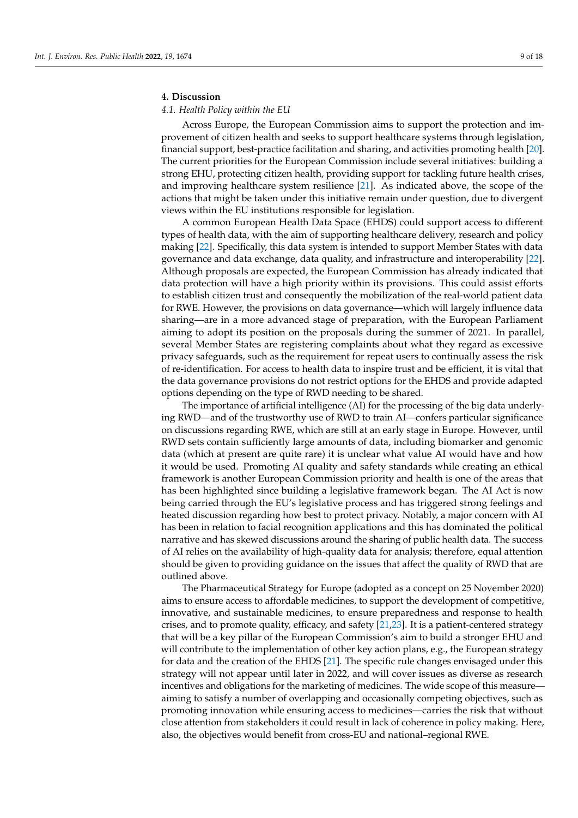# **4. Discussion**

# *4.1. Health Policy within the EU*

Across Europe, the European Commission aims to support the protection and improvement of citizen health and seeks to support healthcare systems through legislation, financial support, best-practice facilitation and sharing, and activities promoting health [\[20\]](#page-16-19). The current priorities for the European Commission include several initiatives: building a strong EHU, protecting citizen health, providing support for tackling future health crises, and improving healthcare system resilience [\[21\]](#page-16-20). As indicated above, the scope of the actions that might be taken under this initiative remain under question, due to divergent views within the EU institutions responsible for legislation.

A common European Health Data Space (EHDS) could support access to different types of health data, with the aim of supporting healthcare delivery, research and policy making [\[22\]](#page-16-21). Specifically, this data system is intended to support Member States with data governance and data exchange, data quality, and infrastructure and interoperability [\[22\]](#page-16-21). Although proposals are expected, the European Commission has already indicated that data protection will have a high priority within its provisions. This could assist efforts to establish citizen trust and consequently the mobilization of the real-world patient data for RWE. However, the provisions on data governance—which will largely influence data sharing—are in a more advanced stage of preparation, with the European Parliament aiming to adopt its position on the proposals during the summer of 2021. In parallel, several Member States are registering complaints about what they regard as excessive privacy safeguards, such as the requirement for repeat users to continually assess the risk of re-identification. For access to health data to inspire trust and be efficient, it is vital that the data governance provisions do not restrict options for the EHDS and provide adapted options depending on the type of RWD needing to be shared.

The importance of artificial intelligence (AI) for the processing of the big data underlying RWD—and of the trustworthy use of RWD to train AI—confers particular significance on discussions regarding RWE, which are still at an early stage in Europe. However, until RWD sets contain sufficiently large amounts of data, including biomarker and genomic data (which at present are quite rare) it is unclear what value AI would have and how it would be used. Promoting AI quality and safety standards while creating an ethical framework is another European Commission priority and health is one of the areas that has been highlighted since building a legislative framework began. The AI Act is now being carried through the EU's legislative process and has triggered strong feelings and heated discussion regarding how best to protect privacy. Notably, a major concern with AI has been in relation to facial recognition applications and this has dominated the political narrative and has skewed discussions around the sharing of public health data. The success of AI relies on the availability of high-quality data for analysis; therefore, equal attention should be given to providing guidance on the issues that affect the quality of RWD that are outlined above.

The Pharmaceutical Strategy for Europe (adopted as a concept on 25 November 2020) aims to ensure access to affordable medicines, to support the development of competitive, innovative, and sustainable medicines, to ensure preparedness and response to health crises, and to promote quality, efficacy, and safety [\[21](#page-16-20)[,23\]](#page-17-0). It is a patient-centered strategy that will be a key pillar of the European Commission's aim to build a stronger EHU and will contribute to the implementation of other key action plans, e.g., the European strategy for data and the creation of the EHDS [\[21\]](#page-16-20). The specific rule changes envisaged under this strategy will not appear until later in 2022, and will cover issues as diverse as research incentives and obligations for the marketing of medicines. The wide scope of this measure aiming to satisfy a number of overlapping and occasionally competing objectives, such as promoting innovation while ensuring access to medicines—carries the risk that without close attention from stakeholders it could result in lack of coherence in policy making. Here, also, the objectives would benefit from cross-EU and national–regional RWE.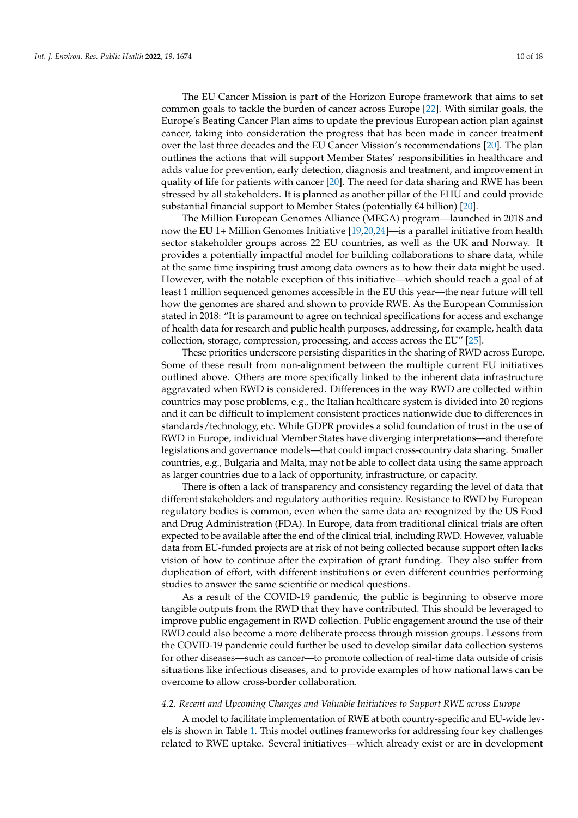The EU Cancer Mission is part of the Horizon Europe framework that aims to set common goals to tackle the burden of cancer across Europe [\[22\]](#page-16-21). With similar goals, the Europe's Beating Cancer Plan aims to update the previous European action plan against cancer, taking into consideration the progress that has been made in cancer treatment over the last three decades and the EU Cancer Mission's recommendations [\[20\]](#page-16-19). The plan outlines the actions that will support Member States' responsibilities in healthcare and adds value for prevention, early detection, diagnosis and treatment, and improvement in quality of life for patients with cancer  $[20]$ . The need for data sharing and RWE has been stressed by all stakeholders. It is planned as another pillar of the EHU and could provide substantial financial support to Member States (potentially €4 billion) [\[20\]](#page-16-19).

The Million European Genomes Alliance (MEGA) program—launched in 2018 and now the EU 1+ Million Genomes Initiative [\[19,](#page-16-18)[20,](#page-16-19)[24\]](#page-17-1)—is a parallel initiative from health sector stakeholder groups across 22 EU countries, as well as the UK and Norway. It provides a potentially impactful model for building collaborations to share data, while at the same time inspiring trust among data owners as to how their data might be used. However, with the notable exception of this initiative—which should reach a goal of at least 1 million sequenced genomes accessible in the EU this year—the near future will tell how the genomes are shared and shown to provide RWE. As the European Commission stated in 2018: "It is paramount to agree on technical specifications for access and exchange of health data for research and public health purposes, addressing, for example, health data collection, storage, compression, processing, and access across the EU" [\[25\]](#page-17-2).

These priorities underscore persisting disparities in the sharing of RWD across Europe. Some of these result from non-alignment between the multiple current EU initiatives outlined above. Others are more specifically linked to the inherent data infrastructure aggravated when RWD is considered. Differences in the way RWD are collected within countries may pose problems, e.g., the Italian healthcare system is divided into 20 regions and it can be difficult to implement consistent practices nationwide due to differences in standards/technology, etc. While GDPR provides a solid foundation of trust in the use of RWD in Europe, individual Member States have diverging interpretations—and therefore legislations and governance models—that could impact cross-country data sharing. Smaller countries, e.g., Bulgaria and Malta, may not be able to collect data using the same approach as larger countries due to a lack of opportunity, infrastructure, or capacity.

There is often a lack of transparency and consistency regarding the level of data that different stakeholders and regulatory authorities require. Resistance to RWD by European regulatory bodies is common, even when the same data are recognized by the US Food and Drug Administration (FDA). In Europe, data from traditional clinical trials are often expected to be available after the end of the clinical trial, including RWD. However, valuable data from EU-funded projects are at risk of not being collected because support often lacks vision of how to continue after the expiration of grant funding. They also suffer from duplication of effort, with different institutions or even different countries performing studies to answer the same scientific or medical questions.

As a result of the COVID-19 pandemic, the public is beginning to observe more tangible outputs from the RWD that they have contributed. This should be leveraged to improve public engagement in RWD collection. Public engagement around the use of their RWD could also become a more deliberate process through mission groups. Lessons from the COVID-19 pandemic could further be used to develop similar data collection systems for other diseases—such as cancer—to promote collection of real-time data outside of crisis situations like infectious diseases, and to provide examples of how national laws can be overcome to allow cross-border collaboration.

#### *4.2. Recent and Upcoming Changes and Valuable Initiatives to Support RWE across Europe*

A model to facilitate implementation of RWE at both country-specific and EU-wide levels is shown in Table [1.](#page-6-0) This model outlines frameworks for addressing four key challenges related to RWE uptake. Several initiatives—which already exist or are in development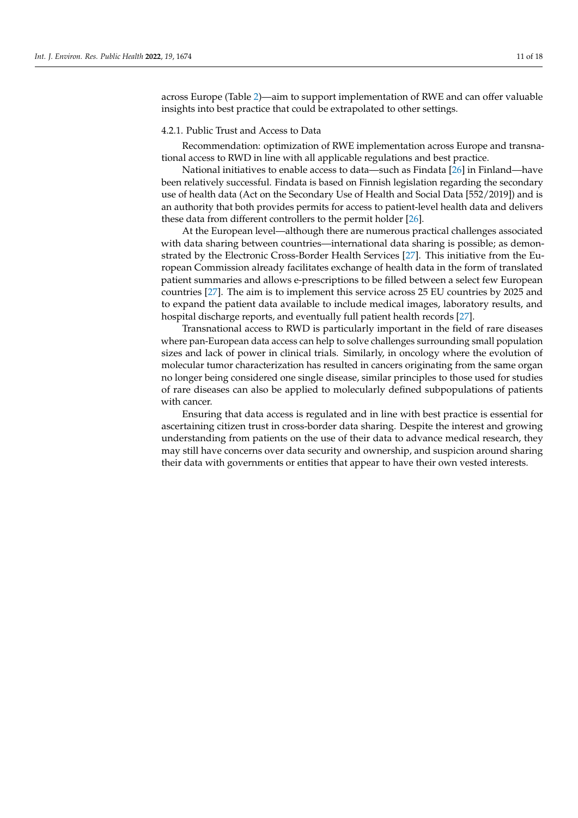across Europe (Table [2\)](#page-12-0)—aim to support implementation of RWE and can offer valuable insights into best practice that could be extrapolated to other settings.

#### 4.2.1. Public Trust and Access to Data

Recommendation: optimization of RWE implementation across Europe and transnational access to RWD in line with all applicable regulations and best practice.

National initiatives to enable access to data—such as Findata [\[26\]](#page-17-3) in Finland—have been relatively successful. Findata is based on Finnish legislation regarding the secondary use of health data (Act on the Secondary Use of Health and Social Data [552/2019]) and is an authority that both provides permits for access to patient-level health data and delivers these data from different controllers to the permit holder [\[26\]](#page-17-3).

At the European level—although there are numerous practical challenges associated with data sharing between countries—international data sharing is possible; as demonstrated by the Electronic Cross-Border Health Services [\[27\]](#page-17-4). This initiative from the European Commission already facilitates exchange of health data in the form of translated patient summaries and allows e-prescriptions to be filled between a select few European countries [\[27\]](#page-17-4). The aim is to implement this service across 25 EU countries by 2025 and to expand the patient data available to include medical images, laboratory results, and hospital discharge reports, and eventually full patient health records [\[27\]](#page-17-4).

Transnational access to RWD is particularly important in the field of rare diseases where pan-European data access can help to solve challenges surrounding small population sizes and lack of power in clinical trials. Similarly, in oncology where the evolution of molecular tumor characterization has resulted in cancers originating from the same organ no longer being considered one single disease, similar principles to those used for studies of rare diseases can also be applied to molecularly defined subpopulations of patients with cancer.

Ensuring that data access is regulated and in line with best practice is essential for ascertaining citizen trust in cross-border data sharing. Despite the interest and growing understanding from patients on the use of their data to advance medical research, they may still have concerns over data security and ownership, and suspicion around sharing their data with governments or entities that appear to have their own vested interests.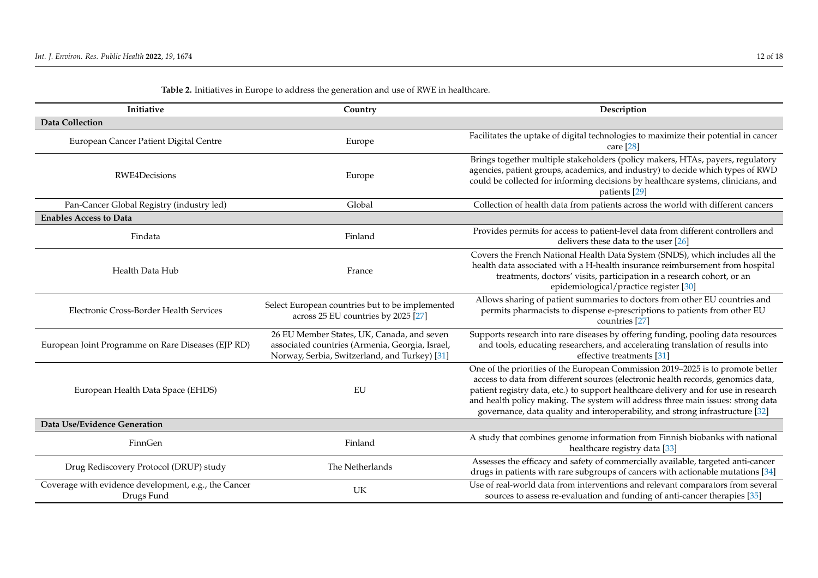| Initiative                                                         | Country                                                                                                                                        | Description                                                                                                                                                                                                                                                                                                                                                                                                                     |  |  |  |  |
|--------------------------------------------------------------------|------------------------------------------------------------------------------------------------------------------------------------------------|---------------------------------------------------------------------------------------------------------------------------------------------------------------------------------------------------------------------------------------------------------------------------------------------------------------------------------------------------------------------------------------------------------------------------------|--|--|--|--|
| <b>Data Collection</b>                                             |                                                                                                                                                |                                                                                                                                                                                                                                                                                                                                                                                                                                 |  |  |  |  |
| European Cancer Patient Digital Centre                             | Europe                                                                                                                                         | Facilitates the uptake of digital technologies to maximize their potential in cancer<br>care $[28]$                                                                                                                                                                                                                                                                                                                             |  |  |  |  |
| <b>RWE4Decisions</b>                                               | Europe                                                                                                                                         | Brings together multiple stakeholders (policy makers, HTAs, payers, regulatory<br>agencies, patient groups, academics, and industry) to decide which types of RWD<br>could be collected for informing decisions by healthcare systems, clinicians, and<br>patients [29]                                                                                                                                                         |  |  |  |  |
| Pan-Cancer Global Registry (industry led)                          | Global                                                                                                                                         | Collection of health data from patients across the world with different cancers                                                                                                                                                                                                                                                                                                                                                 |  |  |  |  |
| <b>Enables Access to Data</b>                                      |                                                                                                                                                |                                                                                                                                                                                                                                                                                                                                                                                                                                 |  |  |  |  |
| Findata                                                            | Finland                                                                                                                                        | Provides permits for access to patient-level data from different controllers and<br>delivers these data to the user $[26]$                                                                                                                                                                                                                                                                                                      |  |  |  |  |
| Health Data Hub                                                    | France                                                                                                                                         | Covers the French National Health Data System (SNDS), which includes all the<br>health data associated with a H-health insurance reimbursement from hospital<br>treatments, doctors' visits, participation in a research cohort, or an<br>epidemiological/practice register [30]                                                                                                                                                |  |  |  |  |
| Electronic Cross-Border Health Services                            | Select European countries but to be implemented<br>across 25 EU countries by 2025 [27]                                                         | Allows sharing of patient summaries to doctors from other EU countries and<br>permits pharmacists to dispense e-prescriptions to patients from other EU<br>countries [27]                                                                                                                                                                                                                                                       |  |  |  |  |
| European Joint Programme on Rare Diseases (EJP RD)                 | 26 EU Member States, UK, Canada, and seven<br>associated countries (Armenia, Georgia, Israel,<br>Norway, Serbia, Switzerland, and Turkey) [31] | Supports research into rare diseases by offering funding, pooling data resources<br>and tools, educating researchers, and accelerating translation of results into<br>effective treatments [31]                                                                                                                                                                                                                                 |  |  |  |  |
| European Health Data Space (EHDS)                                  | EU                                                                                                                                             | One of the priorities of the European Commission 2019-2025 is to promote better<br>access to data from different sources (electronic health records, genomics data,<br>patient registry data, etc.) to support healthcare delivery and for use in research<br>and health policy making. The system will address three main issues: strong data<br>governance, data quality and interoperability, and strong infrastructure [32] |  |  |  |  |
| Data Use/Evidence Generation                                       |                                                                                                                                                |                                                                                                                                                                                                                                                                                                                                                                                                                                 |  |  |  |  |
| FinnGen                                                            | Finland                                                                                                                                        | A study that combines genome information from Finnish biobanks with national<br>healthcare registry data [33]                                                                                                                                                                                                                                                                                                                   |  |  |  |  |
| Drug Rediscovery Protocol (DRUP) study                             | The Netherlands                                                                                                                                | Assesses the efficacy and safety of commercially available, targeted anti-cancer<br>drugs in patients with rare subgroups of cancers with actionable mutations [34]                                                                                                                                                                                                                                                             |  |  |  |  |
| Coverage with evidence development, e.g., the Cancer<br>Drugs Fund | UK                                                                                                                                             | Use of real-world data from interventions and relevant comparators from several<br>sources to assess re-evaluation and funding of anti-cancer therapies [35]                                                                                                                                                                                                                                                                    |  |  |  |  |

# **Table 2.** Initiatives in Europe to address the generation and use of RWE in healthcare.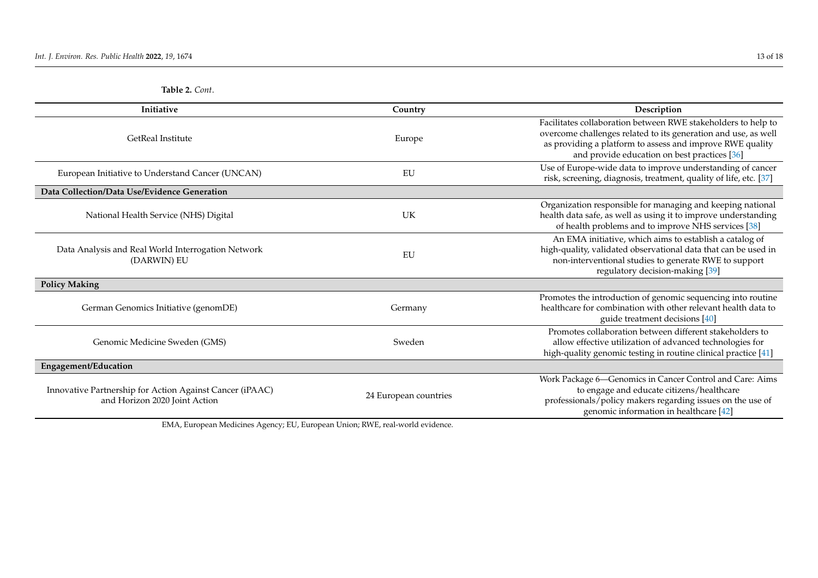|  | Table 2. Cont. |
|--|----------------|
|--|----------------|

| <b>Initiative</b>                                                                         | Country               | Description                                                                                                                                                                                                                                  |  |  |  |
|-------------------------------------------------------------------------------------------|-----------------------|----------------------------------------------------------------------------------------------------------------------------------------------------------------------------------------------------------------------------------------------|--|--|--|
| GetReal Institute                                                                         | Europe                | Facilitates collaboration between RWE stakeholders to help to<br>overcome challenges related to its generation and use, as well<br>as providing a platform to assess and improve RWE quality<br>and provide education on best practices [36] |  |  |  |
| European Initiative to Understand Cancer (UNCAN)                                          | EU                    | Use of Europe-wide data to improve understanding of cancer<br>risk, screening, diagnosis, treatment, quality of life, etc. [37]                                                                                                              |  |  |  |
| Data Collection/Data Use/Evidence Generation                                              |                       |                                                                                                                                                                                                                                              |  |  |  |
| National Health Service (NHS) Digital                                                     | UK                    | Organization responsible for managing and keeping national<br>health data safe, as well as using it to improve understanding<br>of health problems and to improve NHS services [38]                                                          |  |  |  |
| Data Analysis and Real World Interrogation Network<br>(DARWIN) EU                         | EU                    | An EMA initiative, which aims to establish a catalog of<br>high-quality, validated observational data that can be used in<br>non-interventional studies to generate RWE to support<br>regulatory decision-making [39]                        |  |  |  |
| <b>Policy Making</b>                                                                      |                       |                                                                                                                                                                                                                                              |  |  |  |
| German Genomics Initiative (genomDE)                                                      | Germany               | Promotes the introduction of genomic sequencing into routine<br>healthcare for combination with other relevant health data to<br>guide treatment decisions [40]                                                                              |  |  |  |
| Genomic Medicine Sweden (GMS)                                                             | Sweden                | Promotes collaboration between different stakeholders to<br>allow effective utilization of advanced technologies for<br>high-quality genomic testing in routine clinical practice [41]                                                       |  |  |  |
| <b>Engagement/Education</b>                                                               |                       |                                                                                                                                                                                                                                              |  |  |  |
| Innovative Partnership for Action Against Cancer (iPAAC)<br>and Horizon 2020 Joint Action | 24 European countries | Work Package 6-Genomics in Cancer Control and Care: Aims<br>to engage and educate citizens/healthcare<br>professionals/policy makers regarding issues on the use of<br>genomic information in healthcare [42]                                |  |  |  |

<span id="page-12-0"></span>EMA, European Medicines Agency; EU, European Union; RWE, real-world evidence.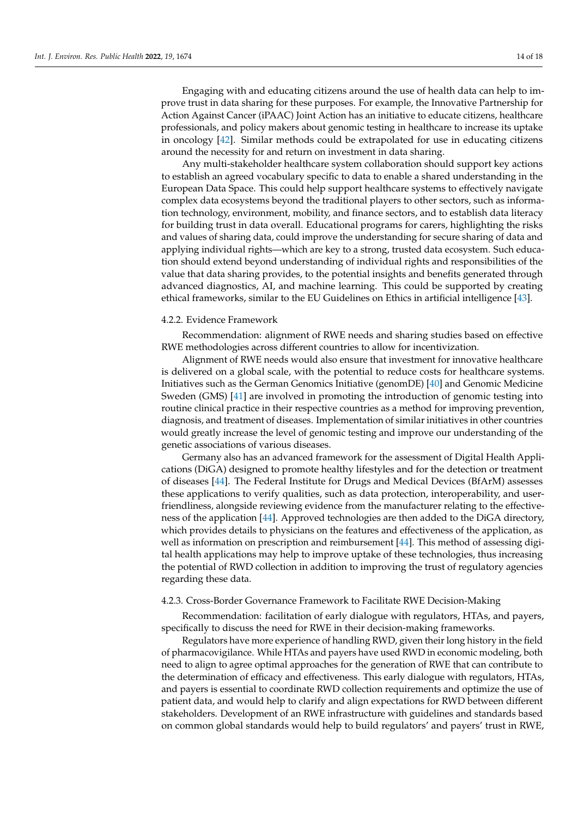Engaging with and educating citizens around the use of health data can help to improve trust in data sharing for these purposes. For example, the Innovative Partnership for Action Against Cancer (iPAAC) Joint Action has an initiative to educate citizens, healthcare professionals, and policy makers about genomic testing in healthcare to increase its uptake in oncology [\[42\]](#page-17-22). Similar methods could be extrapolated for use in educating citizens around the necessity for and return on investment in data sharing.

Any multi-stakeholder healthcare system collaboration should support key actions to establish an agreed vocabulary specific to data to enable a shared understanding in the European Data Space. This could help support healthcare systems to effectively navigate complex data ecosystems beyond the traditional players to other sectors, such as information technology, environment, mobility, and finance sectors, and to establish data literacy for building trust in data overall. Educational programs for carers, highlighting the risks and values of sharing data, could improve the understanding for secure sharing of data and applying individual rights—which are key to a strong, trusted data ecosystem. Such education should extend beyond understanding of individual rights and responsibilities of the value that data sharing provides, to the potential insights and benefits generated through advanced diagnostics, AI, and machine learning. This could be supported by creating ethical frameworks, similar to the EU Guidelines on Ethics in artificial intelligence [\[43\]](#page-17-23).

#### 4.2.2. Evidence Framework

Recommendation: alignment of RWE needs and sharing studies based on effective RWE methodologies across different countries to allow for incentivization.

Alignment of RWE needs would also ensure that investment for innovative healthcare is delivered on a global scale, with the potential to reduce costs for healthcare systems. Initiatives such as the German Genomics Initiative (genomDE) [\[40\]](#page-17-24) and Genomic Medicine Sweden (GMS) [\[41\]](#page-17-25) are involved in promoting the introduction of genomic testing into routine clinical practice in their respective countries as a method for improving prevention, diagnosis, and treatment of diseases. Implementation of similar initiatives in other countries would greatly increase the level of genomic testing and improve our understanding of the genetic associations of various diseases.

Germany also has an advanced framework for the assessment of Digital Health Applications (DiGA) designed to promote healthy lifestyles and for the detection or treatment of diseases [\[44\]](#page-17-26). The Federal Institute for Drugs and Medical Devices (BfArM) assesses these applications to verify qualities, such as data protection, interoperability, and userfriendliness, alongside reviewing evidence from the manufacturer relating to the effectiveness of the application [\[44\]](#page-17-26). Approved technologies are then added to the DiGA directory, which provides details to physicians on the features and effectiveness of the application, as well as information on prescription and reimbursement [\[44\]](#page-17-26). This method of assessing digital health applications may help to improve uptake of these technologies, thus increasing the potential of RWD collection in addition to improving the trust of regulatory agencies regarding these data.

# 4.2.3. Cross-Border Governance Framework to Facilitate RWE Decision-Making

Recommendation: facilitation of early dialogue with regulators, HTAs, and payers, specifically to discuss the need for RWE in their decision-making frameworks.

Regulators have more experience of handling RWD, given their long history in the field of pharmacovigilance. While HTAs and payers have used RWD in economic modeling, both need to align to agree optimal approaches for the generation of RWE that can contribute to the determination of efficacy and effectiveness. This early dialogue with regulators, HTAs, and payers is essential to coordinate RWD collection requirements and optimize the use of patient data, and would help to clarify and align expectations for RWD between different stakeholders. Development of an RWE infrastructure with guidelines and standards based on common global standards would help to build regulators' and payers' trust in RWE,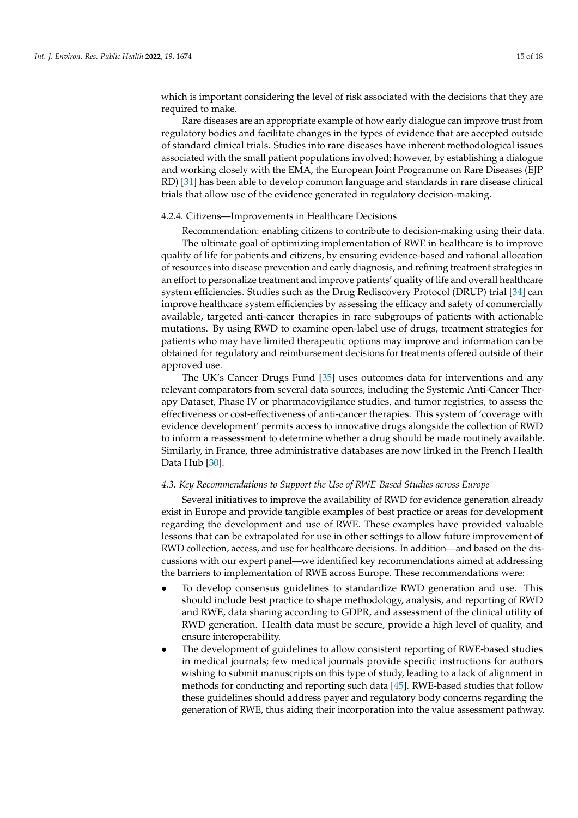which is important considering the level of risk associated with the decisions that they are required to make.

Rare diseases are an appropriate example of how early dialogue can improve trust from regulatory bodies and facilitate changes in the types of evidence that are accepted outside of standard clinical trials. Studies into rare diseases have inherent methodological issues associated with the small patient populations involved; however, by establishing a dialogue and working closely with the EMA, the European Joint Programme on Rare Diseases (EJP RD) [\[31\]](#page-17-27) has been able to develop common language and standards in rare disease clinical trials that allow use of the evidence generated in regulatory decision-making.

# 4.2.4. Citizens—Improvements in Healthcare Decisions

Recommendation: enabling citizens to contribute to decision-making using their data. The ultimate goal of optimizing implementation of RWE in healthcare is to improve quality of life for patients and citizens, by ensuring evidence-based and rational allocation of resources into disease prevention and early diagnosis, and refining treatment strategies in an effort to personalize treatment and improve patients' quality of life and overall healthcare system efficiencies. Studies such as the Drug Rediscovery Protocol (DRUP) trial [\[34\]](#page-17-28) can improve healthcare system efficiencies by assessing the efficacy and safety of commercially available, targeted anti-cancer therapies in rare subgroups of patients with actionable mutations. By using RWD to examine open-label use of drugs, treatment strategies for patients who may have limited therapeutic options may improve and information can be obtained for regulatory and reimbursement decisions for treatments offered outside of their approved use.

The UK's Cancer Drugs Fund [\[35\]](#page-17-29) uses outcomes data for interventions and any relevant comparators from several data sources, including the Systemic Anti-Cancer Therapy Dataset, Phase IV or pharmacovigilance studies, and tumor registries, to assess the effectiveness or cost-effectiveness of anti-cancer therapies. This system of 'coverage with evidence development' permits access to innovative drugs alongside the collection of RWD to inform a reassessment to determine whether a drug should be made routinely available. Similarly, in France, three administrative databases are now linked in the French Health Data Hub [\[30\]](#page-17-30).

#### *4.3. Key Recommendations to Support the Use of RWE-Based Studies across Europe*

Several initiatives to improve the availability of RWD for evidence generation already exist in Europe and provide tangible examples of best practice or areas for development regarding the development and use of RWE. These examples have provided valuable lessons that can be extrapolated for use in other settings to allow future improvement of RWD collection, access, and use for healthcare decisions. In addition—and based on the discussions with our expert panel—we identified key recommendations aimed at addressing the barriers to implementation of RWE across Europe. These recommendations were:

- To develop consensus guidelines to standardize RWD generation and use. This should include best practice to shape methodology, analysis, and reporting of RWD and RWE, data sharing according to GDPR, and assessment of the clinical utility of RWD generation. Health data must be secure, provide a high level of quality, and ensure interoperability.
- The development of guidelines to allow consistent reporting of RWE-based studies in medical journals; few medical journals provide specific instructions for authors wishing to submit manuscripts on this type of study, leading to a lack of alignment in methods for conducting and reporting such data [\[45\]](#page-17-31). RWE-based studies that follow these guidelines should address payer and regulatory body concerns regarding the generation of RWE, thus aiding their incorporation into the value assessment pathway.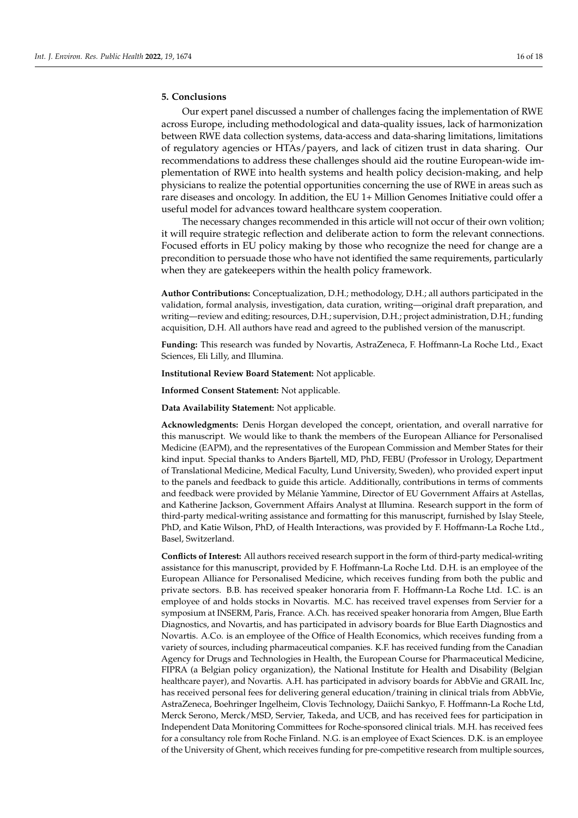# **5. Conclusions**

Our expert panel discussed a number of challenges facing the implementation of RWE across Europe, including methodological and data-quality issues, lack of harmonization between RWE data collection systems, data-access and data-sharing limitations, limitations of regulatory agencies or HTAs/payers, and lack of citizen trust in data sharing. Our recommendations to address these challenges should aid the routine European-wide implementation of RWE into health systems and health policy decision-making, and help physicians to realize the potential opportunities concerning the use of RWE in areas such as rare diseases and oncology. In addition, the EU 1+ Million Genomes Initiative could offer a useful model for advances toward healthcare system cooperation.

The necessary changes recommended in this article will not occur of their own volition; it will require strategic reflection and deliberate action to form the relevant connections. Focused efforts in EU policy making by those who recognize the need for change are a precondition to persuade those who have not identified the same requirements, particularly when they are gatekeepers within the health policy framework.

**Author Contributions:** Conceptualization, D.H.; methodology, D.H.; all authors participated in the validation, formal analysis, investigation, data curation, writing—original draft preparation, and writing—review and editing; resources, D.H.; supervision, D.H.; project administration, D.H.; funding acquisition, D.H. All authors have read and agreed to the published version of the manuscript.

**Funding:** This research was funded by Novartis, AstraZeneca, F. Hoffmann-La Roche Ltd., Exact Sciences, Eli Lilly, and Illumina.

**Institutional Review Board Statement:** Not applicable.

**Informed Consent Statement:** Not applicable.

**Data Availability Statement:** Not applicable.

**Acknowledgments:** Denis Horgan developed the concept, orientation, and overall narrative for this manuscript. We would like to thank the members of the European Alliance for Personalised Medicine (EAPM), and the representatives of the European Commission and Member States for their kind input. Special thanks to Anders Bjartell, MD, PhD, FEBU (Professor in Urology, Department of Translational Medicine, Medical Faculty, Lund University, Sweden), who provided expert input to the panels and feedback to guide this article. Additionally, contributions in terms of comments and feedback were provided by Mélanie Yammine, Director of EU Government Affairs at Astellas, and Katherine Jackson, Government Affairs Analyst at Illumina. Research support in the form of third-party medical-writing assistance and formatting for this manuscript, furnished by Islay Steele, PhD, and Katie Wilson, PhD, of Health Interactions, was provided by F. Hoffmann-La Roche Ltd., Basel, Switzerland.

**Conflicts of Interest:** All authors received research support in the form of third-party medical-writing assistance for this manuscript, provided by F. Hoffmann-La Roche Ltd. D.H. is an employee of the European Alliance for Personalised Medicine, which receives funding from both the public and private sectors. B.B. has received speaker honoraria from F. Hoffmann-La Roche Ltd. I.C. is an employee of and holds stocks in Novartis. M.C. has received travel expenses from Servier for a symposium at INSERM, Paris, France. A.Ch. has received speaker honoraria from Amgen, Blue Earth Diagnostics, and Novartis, and has participated in advisory boards for Blue Earth Diagnostics and Novartis. A.Co. is an employee of the Office of Health Economics, which receives funding from a variety of sources, including pharmaceutical companies. K.F. has received funding from the Canadian Agency for Drugs and Technologies in Health, the European Course for Pharmaceutical Medicine, FIPRA (a Belgian policy organization), the National Institute for Health and Disability (Belgian healthcare payer), and Novartis. A.H. has participated in advisory boards for AbbVie and GRAIL Inc, has received personal fees for delivering general education/training in clinical trials from AbbVie, AstraZeneca, Boehringer Ingelheim, Clovis Technology, Daiichi Sankyo, F. Hoffmann-La Roche Ltd, Merck Serono, Merck/MSD, Servier, Takeda, and UCB, and has received fees for participation in Independent Data Monitoring Committees for Roche-sponsored clinical trials. M.H. has received fees for a consultancy role from Roche Finland. N.G. is an employee of Exact Sciences. D.K. is an employee of the University of Ghent, which receives funding for pre-competitive research from multiple sources,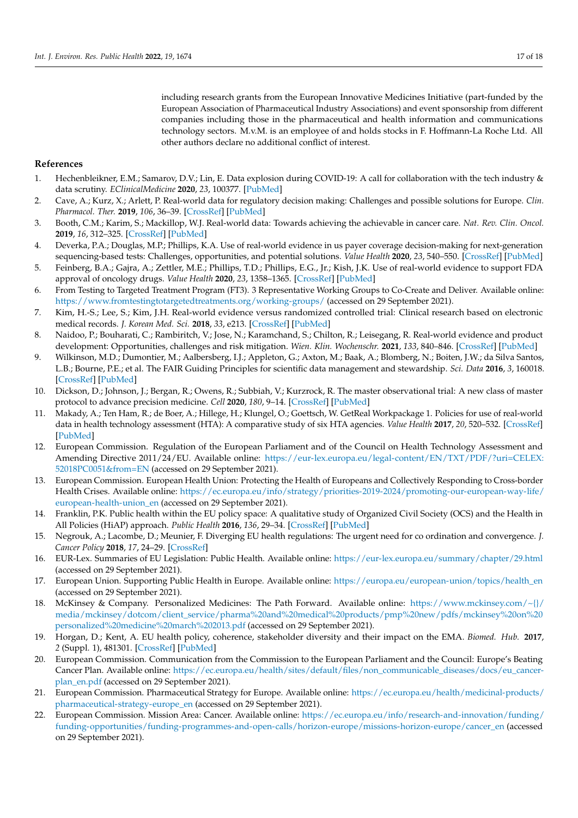including research grants from the European Innovative Medicines Initiative (part-funded by the European Association of Pharmaceutical Industry Associations) and event sponsorship from different companies including those in the pharmaceutical and health information and communications technology sectors. M.v.M. is an employee of and holds stocks in F. Hoffmann-La Roche Ltd. All other authors declare no additional conflict of interest.

# **References**

- <span id="page-16-0"></span>1. Hechenbleikner, E.M.; Samarov, D.V.; Lin, E. Data explosion during COVID-19: A call for collaboration with the tech industry & data scrutiny. *EClinicalMedicine* **2020**, *23*, 100377. [\[PubMed\]](http://www.ncbi.nlm.nih.gov/pubmed/32632412)
- <span id="page-16-1"></span>2. Cave, A.; Kurz, X.; Arlett, P. Real-world data for regulatory decision making: Challenges and possible solutions for Europe. *Clin. Pharmacol. Ther.* **2019**, *106*, 36–39. [\[CrossRef\]](http://doi.org/10.1002/cpt.1426) [\[PubMed\]](http://www.ncbi.nlm.nih.gov/pubmed/30970161)
- <span id="page-16-2"></span>3. Booth, C.M.; Karim, S.; Mackillop, W.J. Real-world data: Towards achieving the achievable in cancer care. *Nat. Rev. Clin. Oncol.* **2019**, *16*, 312–325. [\[CrossRef\]](http://doi.org/10.1038/s41571-019-0167-7) [\[PubMed\]](http://www.ncbi.nlm.nih.gov/pubmed/30700859)
- <span id="page-16-3"></span>4. Deverka, P.A.; Douglas, M.P.; Phillips, K.A. Use of real-world evidence in us payer coverage decision-making for next-generation sequencing-based tests: Challenges, opportunities, and potential solutions. *Value Health* **2020**, *23*, 540–550. [\[CrossRef\]](http://doi.org/10.1016/j.jval.2020.02.001) [\[PubMed\]](http://www.ncbi.nlm.nih.gov/pubmed/32389218)
- <span id="page-16-4"></span>5. Feinberg, B.A.; Gajra, A.; Zettler, M.E.; Phillips, T.D.; Phillips, E.G., Jr.; Kish, J.K. Use of real-world evidence to support FDA approval of oncology drugs. *Value Health* **2020**, *23*, 1358–1365. [\[CrossRef\]](http://doi.org/10.1016/j.jval.2020.06.006) [\[PubMed\]](http://www.ncbi.nlm.nih.gov/pubmed/33032780)
- <span id="page-16-5"></span>6. From Testing to Targeted Treatment Program (FT3). 3 Representative Working Groups to Co-Create and Deliver. Available online: <https://www.fromtestingtotargetedtreatments.org/working-groups/> (accessed on 29 September 2021).
- <span id="page-16-6"></span>7. Kim, H.-S.; Lee, S.; Kim, J.H. Real-world evidence versus randomized controlled trial: Clinical research based on electronic medical records. *J. Korean Med. Sci.* **2018**, *33*, e213. [\[CrossRef\]](http://doi.org/10.3346/jkms.2018.33.e213) [\[PubMed\]](http://www.ncbi.nlm.nih.gov/pubmed/30127705)
- <span id="page-16-7"></span>8. Naidoo, P.; Bouharati, C.; Rambiritch, V.; Jose, N.; Karamchand, S.; Chilton, R.; Leisegang, R. Real-world evidence and product development: Opportunities, challenges and risk mitigation. *Wien. Klin. Wochenschr.* **2021**, *133*, 840–846. [\[CrossRef\]](http://doi.org/10.1007/s00508-021-01851-w) [\[PubMed\]](http://www.ncbi.nlm.nih.gov/pubmed/33837463)
- <span id="page-16-8"></span>9. Wilkinson, M.D.; Dumontier, M.; Aalbersberg, I.J.; Appleton, G.; Axton, M.; Baak, A.; Blomberg, N.; Boiten, J.W.; da Silva Santos, L.B.; Bourne, P.E.; et al. The FAIR Guiding Principles for scientific data management and stewardship. *Sci. Data* **2016**, *3*, 160018. [\[CrossRef\]](http://doi.org/10.1038/sdata.2016.18) [\[PubMed\]](http://www.ncbi.nlm.nih.gov/pubmed/26978244)
- <span id="page-16-9"></span>10. Dickson, D.; Johnson, J.; Bergan, R.; Owens, R.; Subbiah, V.; Kurzrock, R. The master observational trial: A new class of master protocol to advance precision medicine. *Cell* **2020**, *180*, 9–14. [\[CrossRef\]](http://doi.org/10.1016/j.cell.2019.12.009) [\[PubMed\]](http://www.ncbi.nlm.nih.gov/pubmed/31951522)
- <span id="page-16-10"></span>11. Makady, A.; Ten Ham, R.; de Boer, A.; Hillege, H.; Klungel, O.; Goettsch, W. GetReal Workpackage 1. Policies for use of real-world data in health technology assessment (HTA): A comparative study of six HTA agencies. *Value Health* **2017**, *20*, 520–532. [\[CrossRef\]](http://doi.org/10.1016/j.jval.2016.12.003) [\[PubMed\]](http://www.ncbi.nlm.nih.gov/pubmed/28407993)
- <span id="page-16-11"></span>12. European Commission. Regulation of the European Parliament and of the Council on Health Technology Assessment and Amending Directive 2011/24/EU. Available online: [https://eur-lex.europa.eu/legal-content/EN/TXT/PDF/?uri=CELEX:](https://eur-lex.europa.eu/legal-content/EN/TXT/PDF/?uri=CELEX:52018PC0051&from=EN) [52018PC0051&from=EN](https://eur-lex.europa.eu/legal-content/EN/TXT/PDF/?uri=CELEX:52018PC0051&from=EN) (accessed on 29 September 2021).
- <span id="page-16-12"></span>13. European Commission. European Health Union: Protecting the Health of Europeans and Collectively Responding to Cross-border Health Crises. Available online: [https://ec.europa.eu/info/strategy/priorities-2019-2024/promoting-our-european-way-life/](https://ec.europa.eu/info/strategy/priorities-2019-2024/promoting-our-european-way-life/european-health-union_en) [european-health-union\\_en](https://ec.europa.eu/info/strategy/priorities-2019-2024/promoting-our-european-way-life/european-health-union_en) (accessed on 29 September 2021).
- <span id="page-16-13"></span>14. Franklin, P.K. Public health within the EU policy space: A qualitative study of Organized Civil Society (OCS) and the Health in All Policies (HiAP) approach. *Public Health* **2016**, *136*, 29–34. [\[CrossRef\]](http://doi.org/10.1016/j.puhe.2016.02.034) [\[PubMed\]](http://www.ncbi.nlm.nih.gov/pubmed/27062067)
- <span id="page-16-14"></span>15. Negrouk, A.; Lacombe, D.; Meunier, F. Diverging EU health regulations: The urgent need for co ordination and convergence. *J. Cancer Policy* **2018**, *17*, 24–29. [\[CrossRef\]](http://doi.org/10.1016/j.jcpo.2017.05.007)
- <span id="page-16-15"></span>16. EUR-Lex. Summaries of EU Legislation: Public Health. Available online: <https://eur-lex.europa.eu/summary/chapter/29.html> (accessed on 29 September 2021).
- <span id="page-16-16"></span>17. European Union. Supporting Public Health in Europe. Available online: [https://europa.eu/european-union/topics/health\\_en](https://europa.eu/european-union/topics/health_en) (accessed on 29 September 2021).
- <span id="page-16-17"></span>18. McKinsey & Company. Personalized Medicines: The Path Forward. Available online: [https://www.mckinsey.com/~{}/](https://www.mckinsey.com/~{}/media/mckinsey/dotcom/client_service/pharma%20and%20medical%20products/pmp%20new/pdfs/mckinsey%20on%20personalized%20medicine%20march%202013.pdf) [media/mckinsey/dotcom/client\\_service/pharma%20and%20medical%20products/pmp%20new/pdfs/mckinsey%20on%20](https://www.mckinsey.com/~{}/media/mckinsey/dotcom/client_service/pharma%20and%20medical%20products/pmp%20new/pdfs/mckinsey%20on%20personalized%20medicine%20march%202013.pdf) [personalized%20medicine%20march%202013.pdf](https://www.mckinsey.com/~{}/media/mckinsey/dotcom/client_service/pharma%20and%20medical%20products/pmp%20new/pdfs/mckinsey%20on%20personalized%20medicine%20march%202013.pdf) (accessed on 29 September 2021).
- <span id="page-16-18"></span>19. Horgan, D.; Kent, A. EU health policy, coherence, stakeholder diversity and their impact on the EMA. *Biomed. Hub.* **2017**, *2* (Suppl. 1), 481301. [\[CrossRef\]](http://doi.org/10.1159/000481301) [\[PubMed\]](http://www.ncbi.nlm.nih.gov/pubmed/31988949)
- <span id="page-16-19"></span>20. European Commission. Communication from the Commission to the European Parliament and the Council: Europe's Beating Cancer Plan. Available online: [https://ec.europa.eu/health/sites/default/files/non\\_communicable\\_diseases/docs/eu\\_cancer](https://ec.europa.eu/health/sites/default/files/non_communicable_diseases/docs/eu_cancer-plan_en.pdf)[plan\\_en.pdf](https://ec.europa.eu/health/sites/default/files/non_communicable_diseases/docs/eu_cancer-plan_en.pdf) (accessed on 29 September 2021).
- <span id="page-16-20"></span>21. European Commission. Pharmaceutical Strategy for Europe. Available online: [https://ec.europa.eu/health/medicinal-products/](https://ec.europa.eu/health/medicinal-products/pharmaceutical-strategy-europe_en) [pharmaceutical-strategy-europe\\_en](https://ec.europa.eu/health/medicinal-products/pharmaceutical-strategy-europe_en) (accessed on 29 September 2021).
- <span id="page-16-21"></span>22. European Commission. Mission Area: Cancer. Available online: [https://ec.europa.eu/info/research-and-innovation/funding/](https://ec.europa.eu/info/research-and-innovation/funding/funding-opportunities/funding-programmes-and-open-calls/horizon-europe/missions-horizon-europe/cancer_en) [funding-opportunities/funding-programmes-and-open-calls/horizon-europe/missions-horizon-europe/cancer\\_en](https://ec.europa.eu/info/research-and-innovation/funding/funding-opportunities/funding-programmes-and-open-calls/horizon-europe/missions-horizon-europe/cancer_en) (accessed on 29 September 2021).